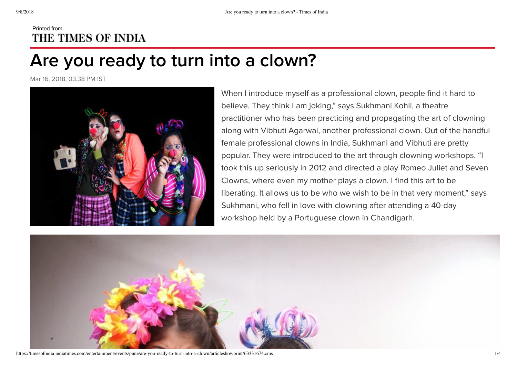## Printed from THE TIMES OF INDIA

## **Are you ready to turn into a clown?**

Mar 16, 2018, 03.38 PM IST



When I introduce myself as a professional clown, people find it hard to believe. They think I am joking," says Sukhmani Kohli, a theatre practitioner who has been practicing and propagating the art of clowning along with Vibhuti Agarwal, another professional clown. Out of the handful female professional clowns in India, Sukhmani and Vibhuti are pretty popular. They were introduced to the art through clowning workshops. "I took this up seriously in 2012 and directed a play Romeo Juliet and Seven Clowns, where even my mother plays a clown. I find this art to be liberating. It allows us to be who we wish to be in that very moment," says Sukhmani, who fell in love with clowning after attending a 40-day workshop held by a Portuguese clown in Chandigarh.



https://timesofindia.indiatimes.com/entertainment/events/pune/are-you-ready-to-turn-into-a-clown/articleshowprint/63331674.cms 1/4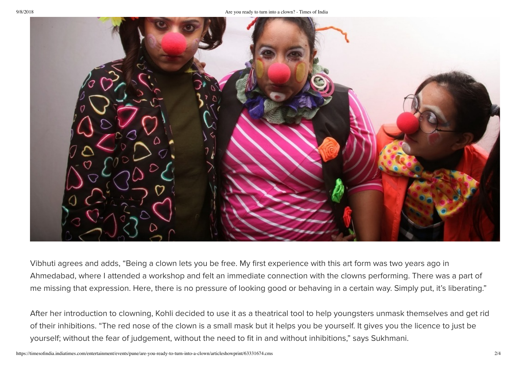

Vibhuti agrees and adds, "Being a clown lets you be free. My first experience with this art form was two years ago in Ahmedabad, where I attended a workshop and felt an immediate connection with the clowns performing. There was a part of me missing that expression. Here, there is no pressure of looking good or behaving in a certain way. Simply put, it's liberating."

After her introduction to clowning, Kohli decided to use it as a theatrical tool to help youngsters unmask themselves and get rid of their inhibitions. "The red nose of the clown is a small mask but it helps you be yourself. It gives you the licence to just be yourself; without the fear of judgement, without the need to fit in and without inhibitions," says Sukhmani.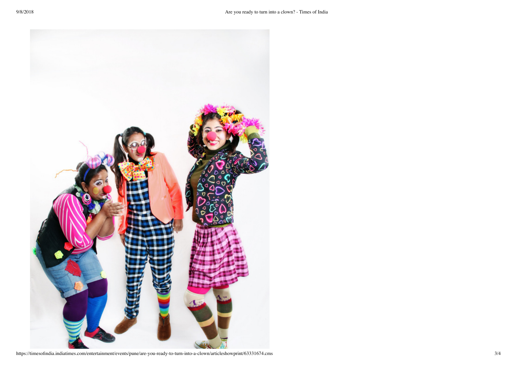

https://timesofindia.indiatimes.com/entertainment/events/pune/are-you-ready-to-turn-into-a-clown/articleshowprint/63331674.cms 3/4